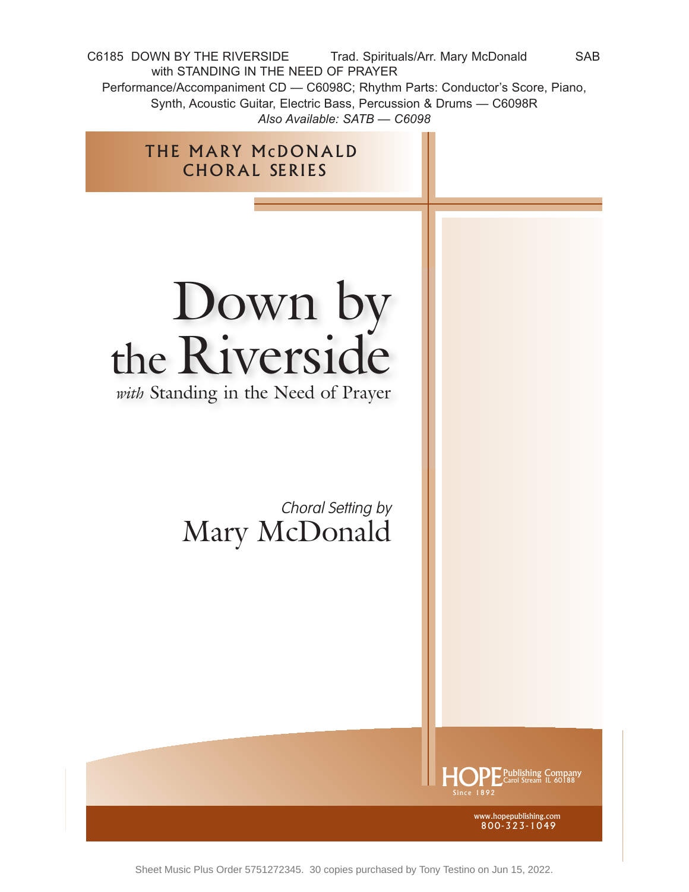C6185 DOWN BY THE RIVERSIDE Trad. Spirituals/Arr. Mary McDonald SAB with STANDING IN THE NEED OF PRAYER Performance/Accompaniment CD — C6098C; Rhythm Parts: Conductor's Score, Piano, Synth, Acoustic Guitar, Electric Bass, Percussion & Drums — C6098R *Also Available: SATB — C6098*

## Down by the Riverside

THE MARY McDONALD CHORAL SERIES

*with* Standing in the Need of Prayer

Choral Setting by Mary McDonald



www.hopepublishing.com 800-323-1049

Sheet Music Plus Order 5751272345. 30 copies purchased by Tony Testino on Jun 15, 2022.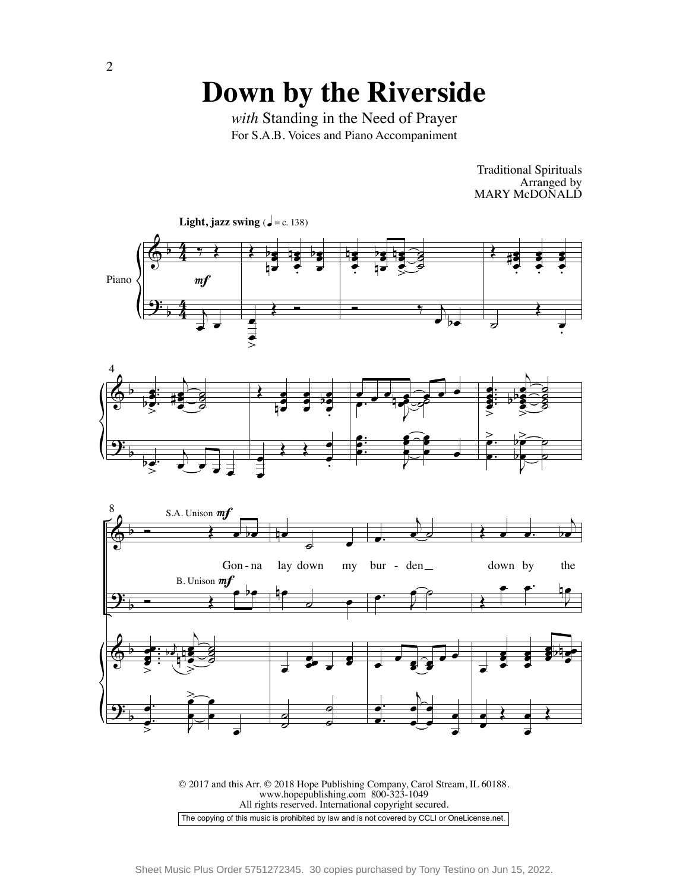For S.A.B. Voices and Piano Accompaniment *with* Standing in the Need of Prayer

> Traditional Spirituals Arranged by MARY McDONALD





© 2017 and this Arr. © 2018 Hope Publishing Company, Carol Stream, IL 60188. www.hopepublishing.com 800-323-1049 All rights reserved. International copyright secured. The copying of this music is prohibited by law and is not covered by CCLI or OneLicense.net.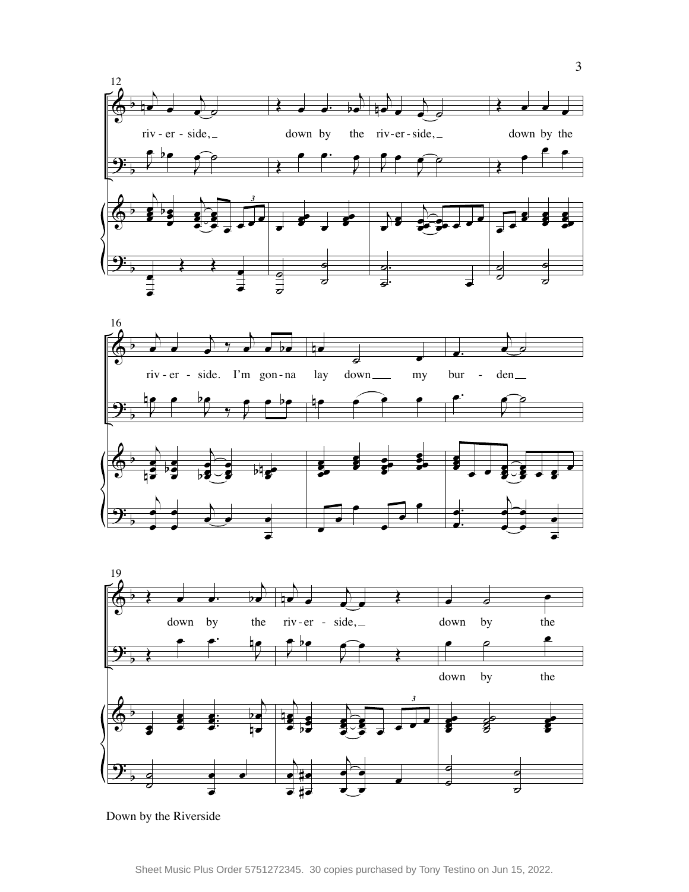



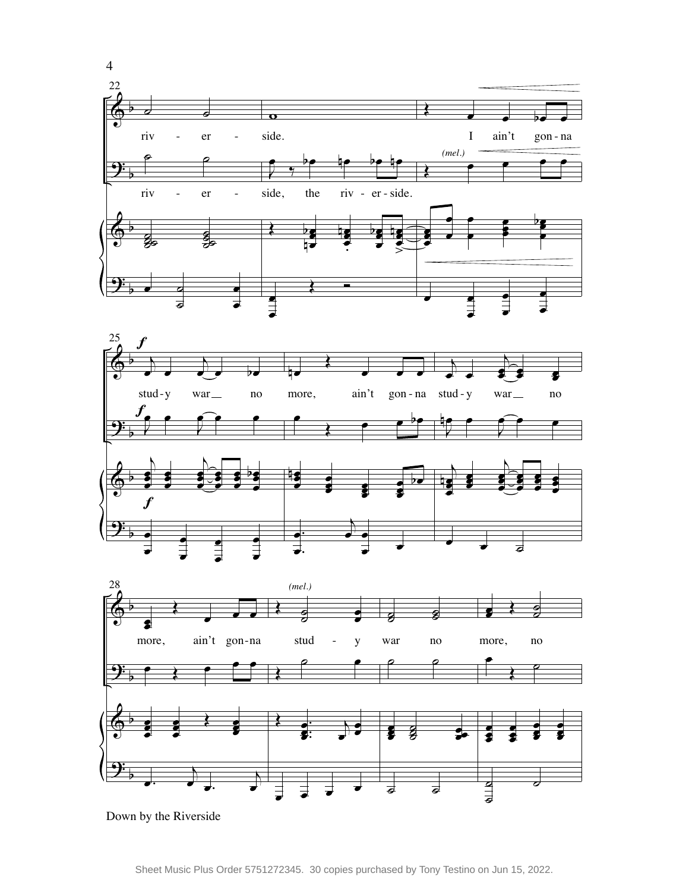



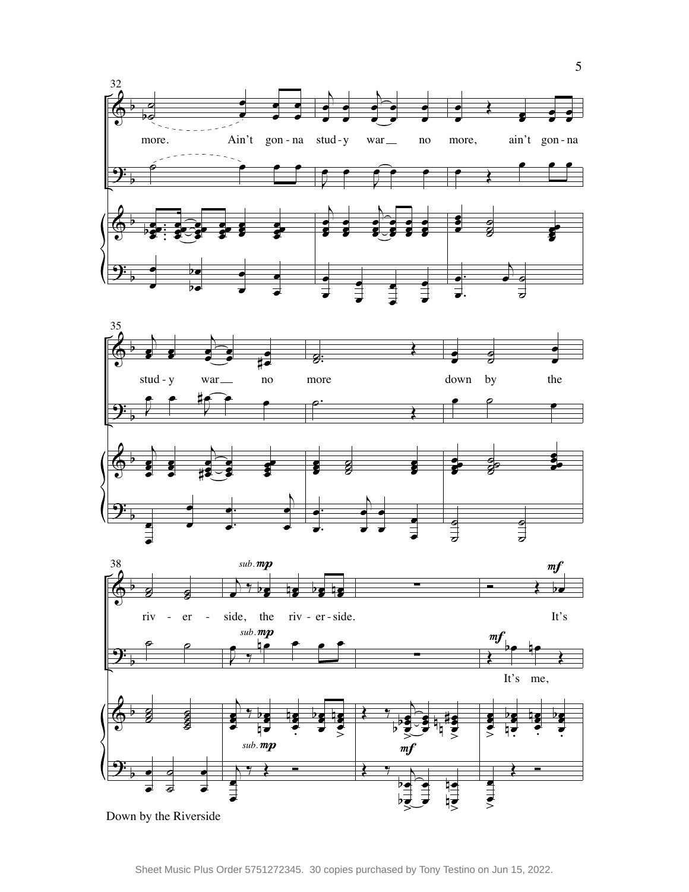





Down by the Riverside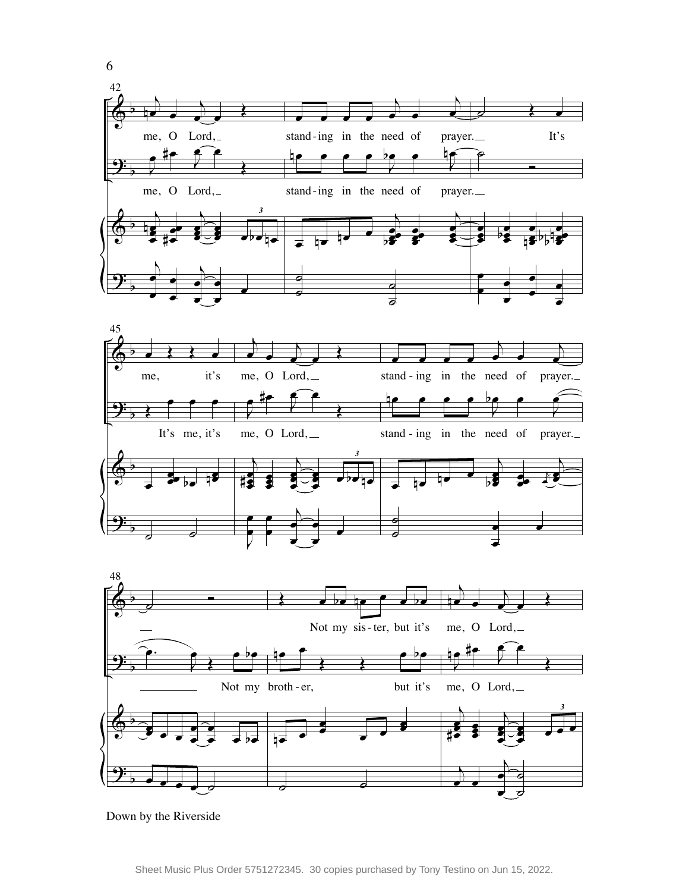

˙

 $\overline{\phantom{a}}$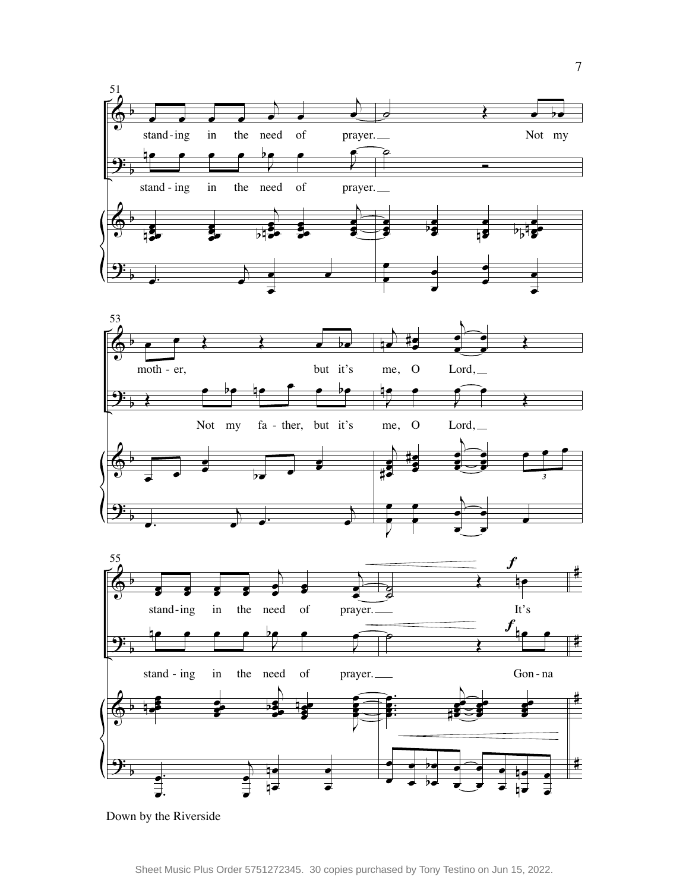



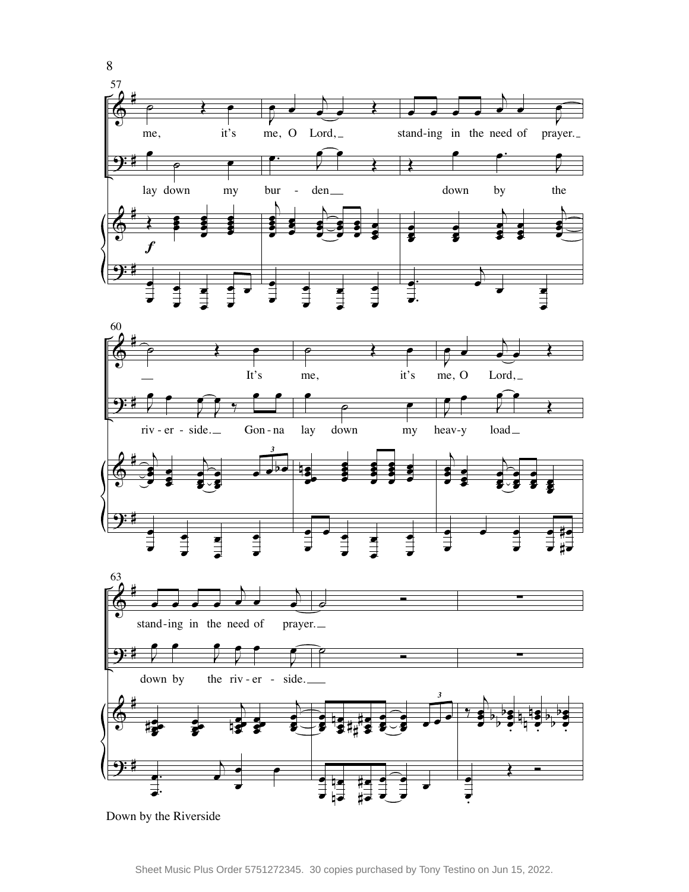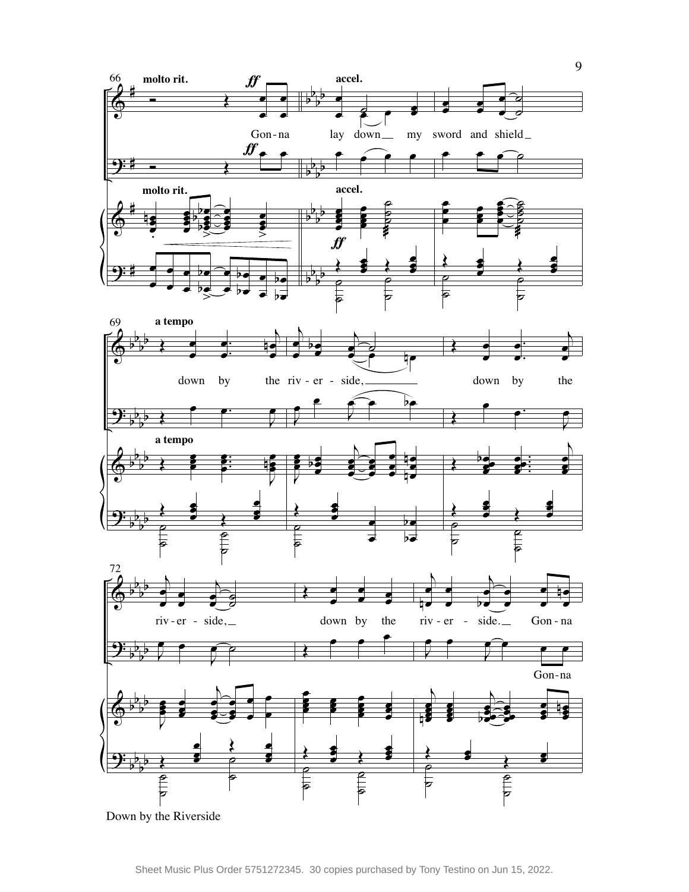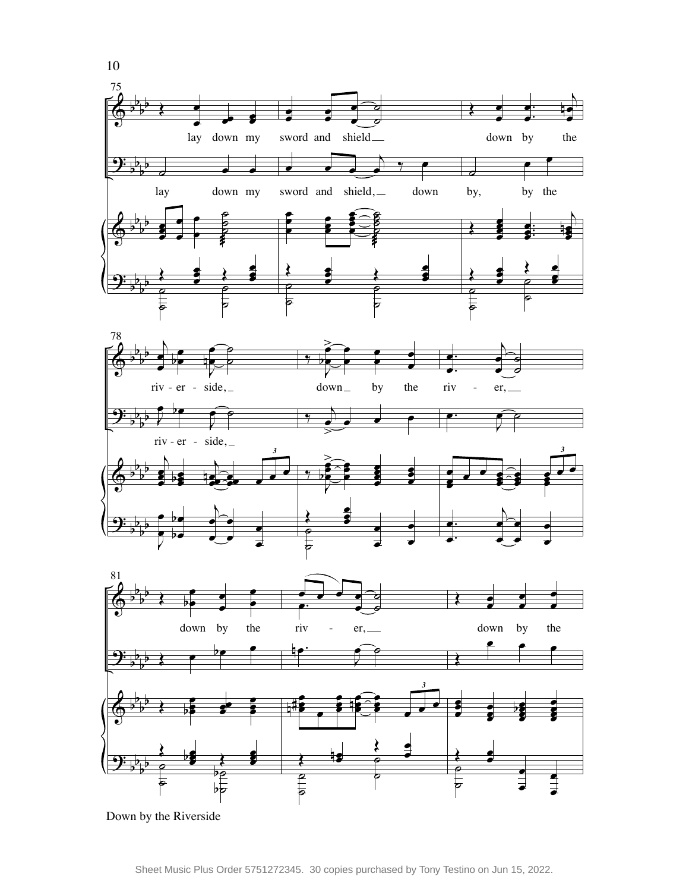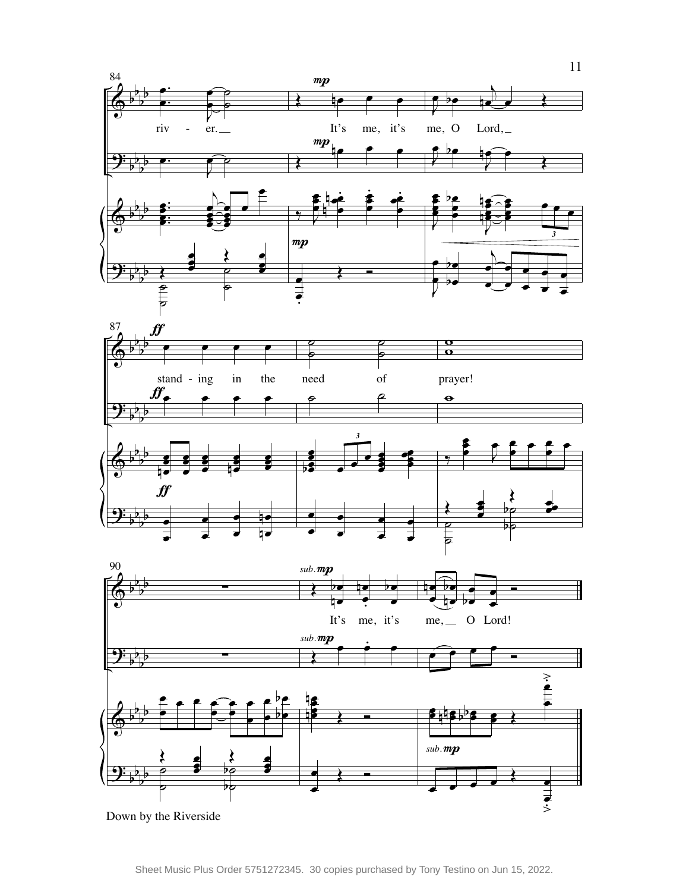